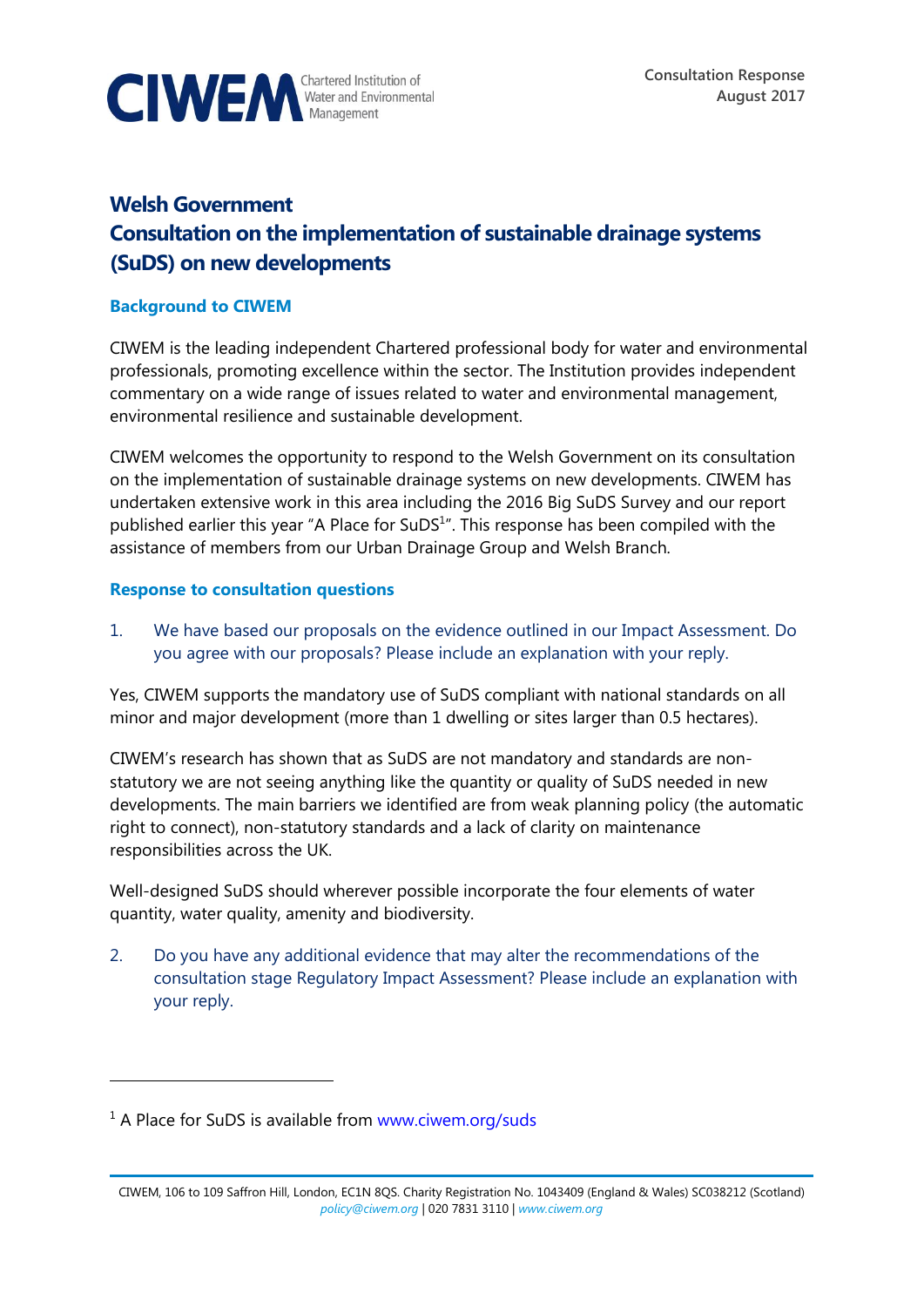

# **Welsh Government Consultation on the implementation of sustainable drainage systems (SuDS) on new developments**

#### **Background to CIWEM**

CIWEM is the leading independent Chartered professional body for water and environmental professionals, promoting excellence within the sector. The Institution provides independent commentary on a wide range of issues related to water and environmental management, environmental resilience and sustainable development.

CIWEM welcomes the opportunity to respond to the Welsh Government on its consultation on the implementation of sustainable drainage systems on new developments. CIWEM has undertaken extensive work in this area including the 2016 Big SuDS Survey and our report published earlier this year "A Place for SuDS<sup>1</sup>". This response has been compiled with the assistance of members from our Urban Drainage Group and Welsh Branch.

#### **Response to consultation questions**

1. We have based our proposals on the evidence outlined in our Impact Assessment. Do you agree with our proposals? Please include an explanation with your reply.

Yes, CIWEM supports the mandatory use of SuDS compliant with national standards on all minor and major development (more than 1 dwelling or sites larger than 0.5 hectares).

CIWEM's research has shown that as SuDS are not mandatory and standards are nonstatutory we are not seeing anything like the quantity or quality of SuDS needed in new developments. The main barriers we identified are from weak planning policy (the automatic right to connect), non-statutory standards and a lack of clarity on maintenance responsibilities across the UK.

Well-designed SuDS should wherever possible incorporate the four elements of water quantity, water quality, amenity and biodiversity.

2. Do you have any additional evidence that may alter the recommendations of the consultation stage Regulatory Impact Assessment? Please include an explanation with your reply.

 $\overline{a}$ 

 $1$  A Place for SuDS is available from [www.ciwem.org/suds](http://www.ciwem.org/suds)

CIWEM, 106 to 109 Saffron Hill, London, EC1N 8QS. Charity Registration No. 1043409 (England & Wales) SC038212 (Scotland) *[policy@ciwem.org](mailto:policy@ciwem.org)* | 020 7831 3110 | *[www.ciwem.org](http://www.ciwem.org/)*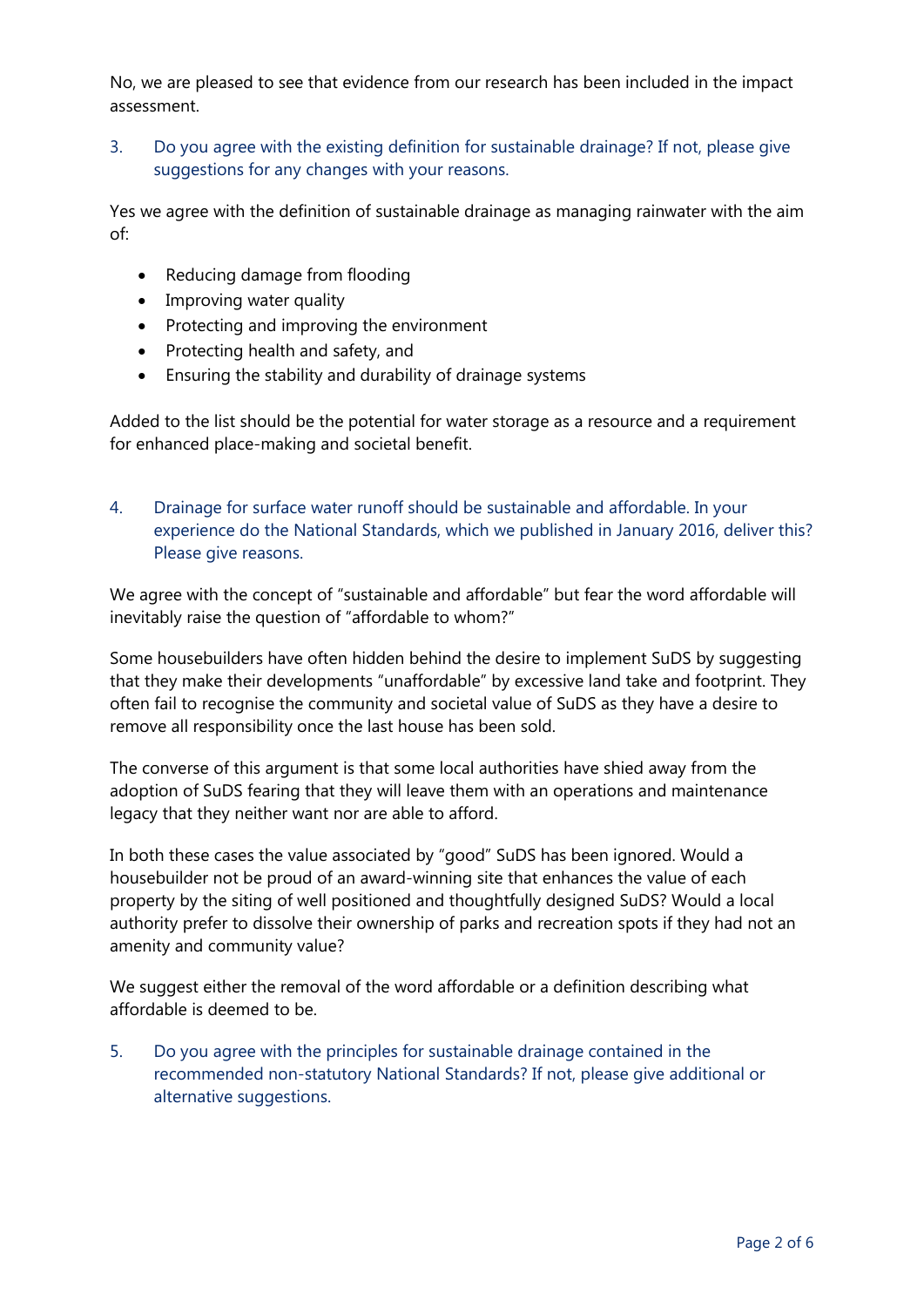No, we are pleased to see that evidence from our research has been included in the impact assessment.

3. Do you agree with the existing definition for sustainable drainage? If not, please give suggestions for any changes with your reasons.

Yes we agree with the definition of sustainable drainage as managing rainwater with the aim of:

- Reducing damage from flooding
- Improving water quality
- Protecting and improving the environment
- Protecting health and safety, and
- Ensuring the stability and durability of drainage systems

Added to the list should be the potential for water storage as a resource and a requirement for enhanced place-making and societal benefit.

4. Drainage for surface water runoff should be sustainable and affordable. In your experience do the National Standards, which we published in January 2016, deliver this? Please give reasons.

We agree with the concept of "sustainable and affordable" but fear the word affordable will inevitably raise the question of "affordable to whom?"

Some housebuilders have often hidden behind the desire to implement SuDS by suggesting that they make their developments "unaffordable" by excessive land take and footprint. They often fail to recognise the community and societal value of SuDS as they have a desire to remove all responsibility once the last house has been sold.

The converse of this argument is that some local authorities have shied away from the adoption of SuDS fearing that they will leave them with an operations and maintenance legacy that they neither want nor are able to afford.

In both these cases the value associated by "good" SuDS has been ignored. Would a housebuilder not be proud of an award-winning site that enhances the value of each property by the siting of well positioned and thoughtfully designed SuDS? Would a local authority prefer to dissolve their ownership of parks and recreation spots if they had not an amenity and community value?

We suggest either the removal of the word affordable or a definition describing what affordable is deemed to be.

5. Do you agree with the principles for sustainable drainage contained in the recommended non-statutory National Standards? If not, please give additional or alternative suggestions.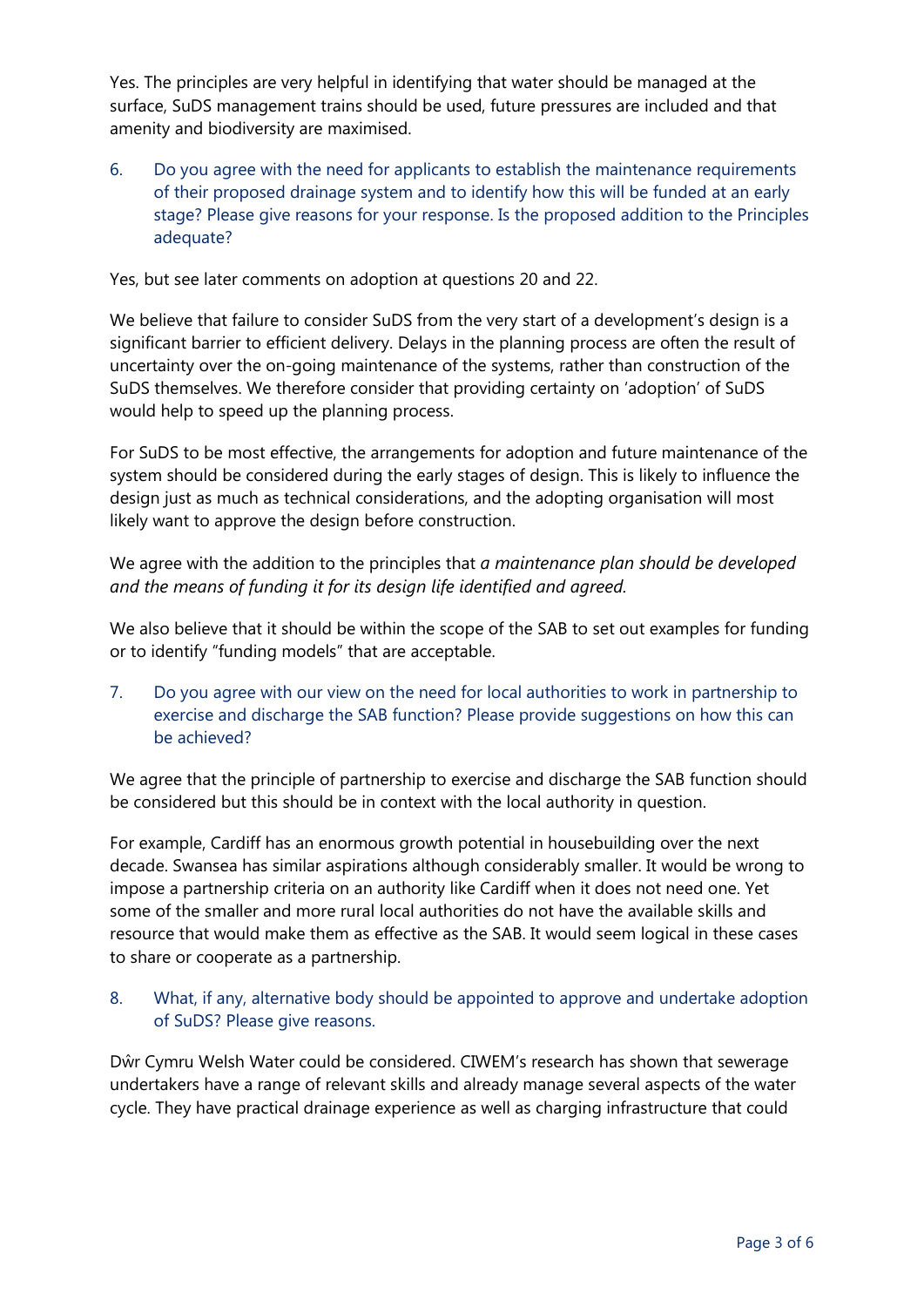Yes. The principles are very helpful in identifying that water should be managed at the surface, SuDS management trains should be used, future pressures are included and that amenity and biodiversity are maximised.

6. Do you agree with the need for applicants to establish the maintenance requirements of their proposed drainage system and to identify how this will be funded at an early stage? Please give reasons for your response. Is the proposed addition to the Principles adequate?

Yes, but see later comments on adoption at questions 20 and 22.

We believe that failure to consider SuDS from the very start of a development's design is a significant barrier to efficient delivery. Delays in the planning process are often the result of uncertainty over the on-going maintenance of the systems, rather than construction of the SuDS themselves. We therefore consider that providing certainty on 'adoption' of SuDS would help to speed up the planning process.

For SuDS to be most effective, the arrangements for adoption and future maintenance of the system should be considered during the early stages of design. This is likely to influence the design just as much as technical considerations, and the adopting organisation will most likely want to approve the design before construction.

We agree with the addition to the principles that *a maintenance plan should be developed and the means of funding it for its design life identified and agreed.* 

We also believe that it should be within the scope of the SAB to set out examples for funding or to identify "funding models" that are acceptable.

7. Do you agree with our view on the need for local authorities to work in partnership to exercise and discharge the SAB function? Please provide suggestions on how this can be achieved?

We agree that the principle of partnership to exercise and discharge the SAB function should be considered but this should be in context with the local authority in question.

For example, Cardiff has an enormous growth potential in housebuilding over the next decade. Swansea has similar aspirations although considerably smaller. It would be wrong to impose a partnership criteria on an authority like Cardiff when it does not need one. Yet some of the smaller and more rural local authorities do not have the available skills and resource that would make them as effective as the SAB. It would seem logical in these cases to share or cooperate as a partnership.

# 8. What, if any, alternative body should be appointed to approve and undertake adoption of SuDS? Please give reasons.

Dŵr Cymru Welsh Water could be considered. CIWEM's research has shown that sewerage undertakers have a range of relevant skills and already manage several aspects of the water cycle. They have practical drainage experience as well as charging infrastructure that could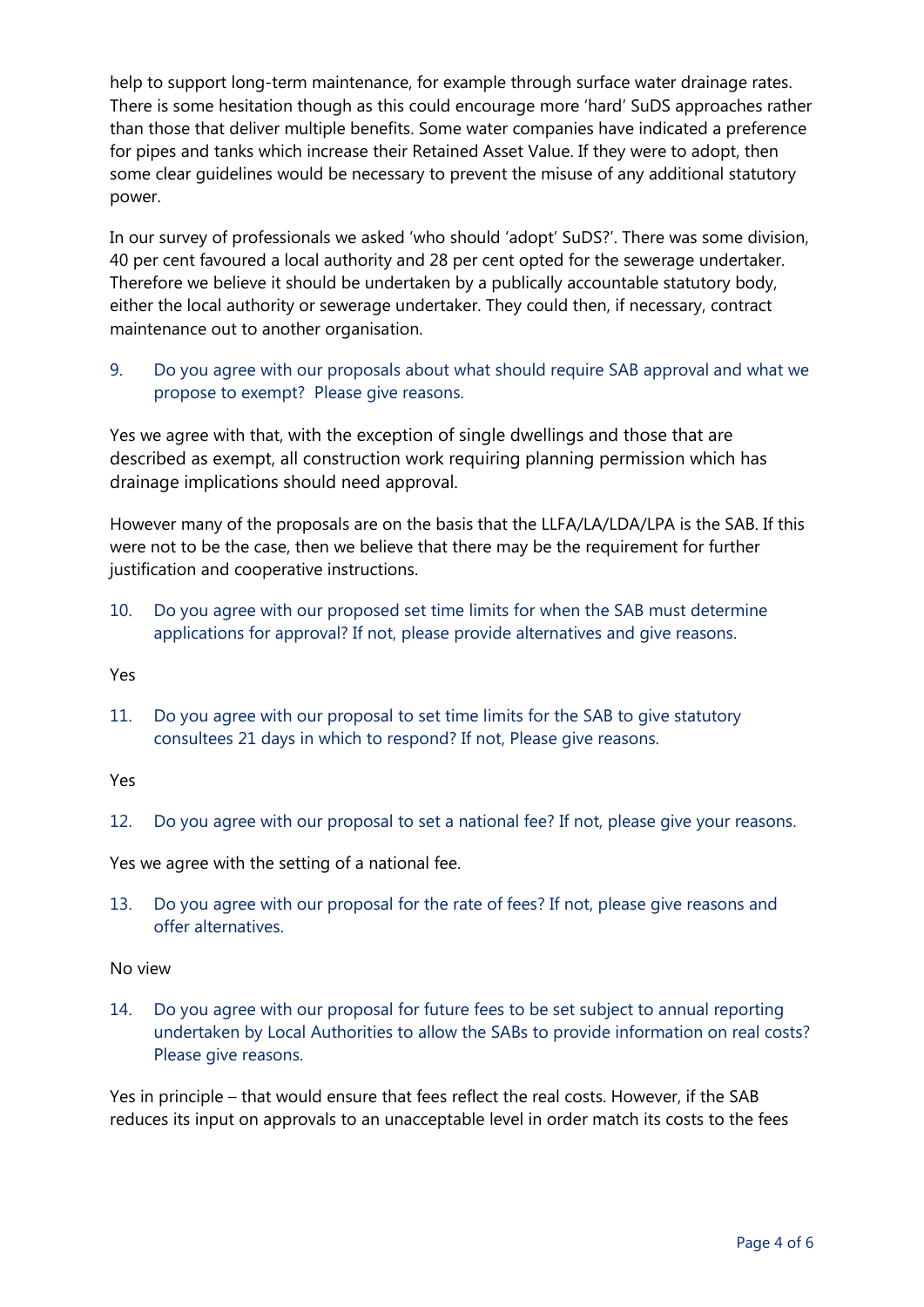help to support long-term maintenance, for example through surface water drainage rates. There is some hesitation though as this could encourage more 'hard' SuDS approaches rather than those that deliver multiple benefits. Some water companies have indicated a preference for pipes and tanks which increase their Retained Asset Value. If they were to adopt, then some clear guidelines would be necessary to prevent the misuse of any additional statutory power.

In our survey of professionals we asked 'who should 'adopt' SuDS?'. There was some division, 40 per cent favoured a local authority and 28 per cent opted for the sewerage undertaker. Therefore we believe it should be undertaken by a publically accountable statutory body, either the local authority or sewerage undertaker. They could then, if necessary, contract maintenance out to another organisation.

# 9. Do you agree with our proposals about what should require SAB approval and what we propose to exempt? Please give reasons.

Yes we agree with that, with the exception of single dwellings and those that are described as exempt, all construction work requiring planning permission which has drainage implications should need approval.

However many of the proposals are on the basis that the LLFA/LA/LDA/LPA is the SAB. If this were not to be the case, then we believe that there may be the requirement for further justification and cooperative instructions.

10. Do you agree with our proposed set time limits for when the SAB must determine applications for approval? If not, please provide alternatives and give reasons.

Yes

11. Do you agree with our proposal to set time limits for the SAB to give statutory consultees 21 days in which to respond? If not, Please give reasons.

Yes

12. Do you agree with our proposal to set a national fee? If not, please give your reasons.

Yes we agree with the setting of a national fee.

13. Do you agree with our proposal for the rate of fees? If not, please give reasons and offer alternatives.

No view

14. Do you agree with our proposal for future fees to be set subject to annual reporting undertaken by Local Authorities to allow the SABs to provide information on real costs? Please give reasons.

Yes in principle – that would ensure that fees reflect the real costs. However, if the SAB reduces its input on approvals to an unacceptable level in order match its costs to the fees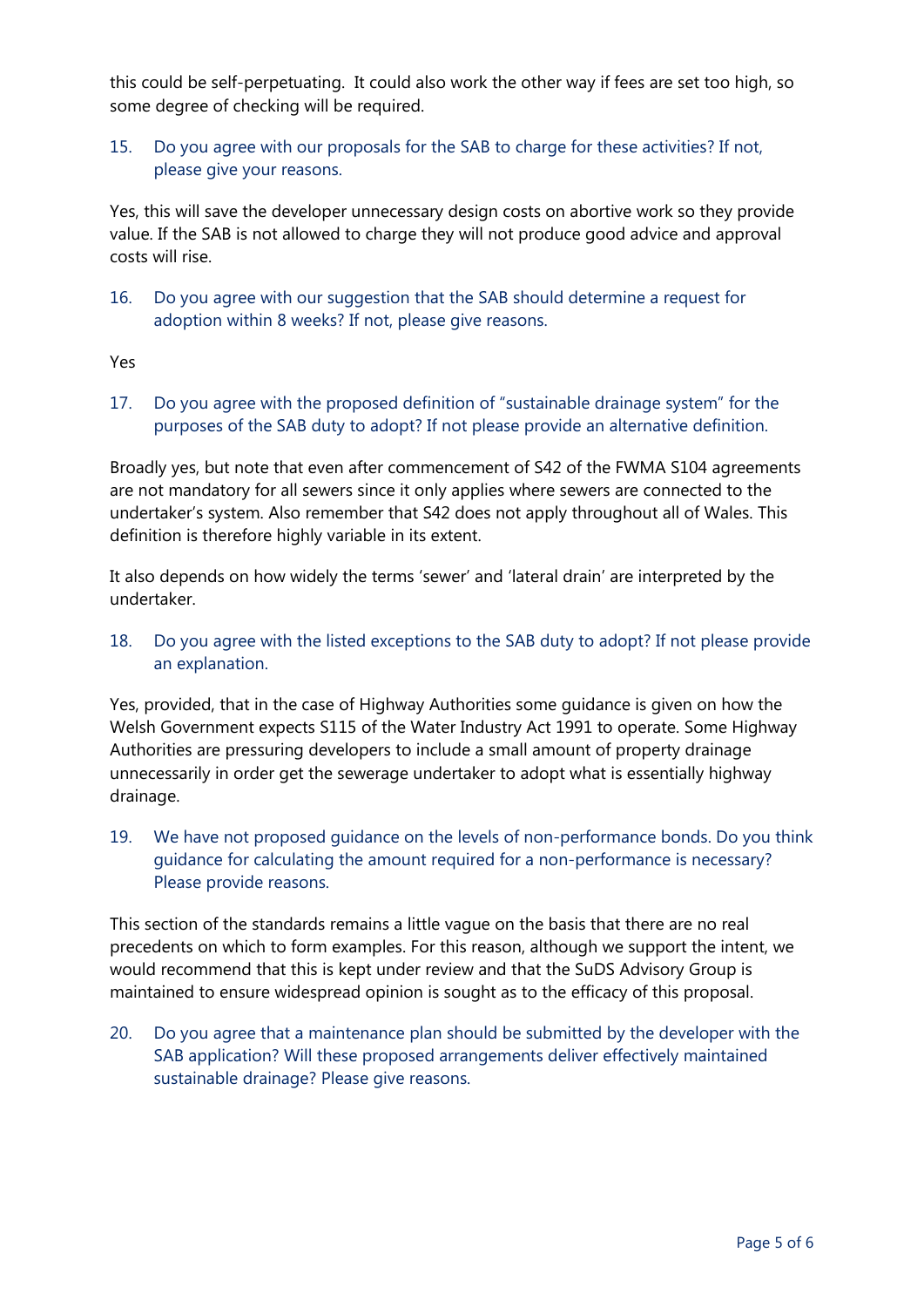this could be self-perpetuating. It could also work the other way if fees are set too high, so some degree of checking will be required.

# 15. Do you agree with our proposals for the SAB to charge for these activities? If not, please give your reasons.

Yes, this will save the developer unnecessary design costs on abortive work so they provide value. If the SAB is not allowed to charge they will not produce good advice and approval costs will rise.

16. Do you agree with our suggestion that the SAB should determine a request for adoption within 8 weeks? If not, please give reasons.

Yes

17. Do you agree with the proposed definition of "sustainable drainage system" for the purposes of the SAB duty to adopt? If not please provide an alternative definition.

Broadly yes, but note that even after commencement of S42 of the FWMA S104 agreements are not mandatory for all sewers since it only applies where sewers are connected to the undertaker's system. Also remember that S42 does not apply throughout all of Wales. This definition is therefore highly variable in its extent.

It also depends on how widely the terms 'sewer' and 'lateral drain' are interpreted by the undertaker.

18. Do you agree with the listed exceptions to the SAB duty to adopt? If not please provide an explanation.

Yes, provided, that in the case of Highway Authorities some guidance is given on how the Welsh Government expects S115 of the Water Industry Act 1991 to operate. Some Highway Authorities are pressuring developers to include a small amount of property drainage unnecessarily in order get the sewerage undertaker to adopt what is essentially highway drainage.

19. We have not proposed guidance on the levels of non-performance bonds. Do you think guidance for calculating the amount required for a non-performance is necessary? Please provide reasons.

This section of the standards remains a little vague on the basis that there are no real precedents on which to form examples. For this reason, although we support the intent, we would recommend that this is kept under review and that the SuDS Advisory Group is maintained to ensure widespread opinion is sought as to the efficacy of this proposal.

20. Do you agree that a maintenance plan should be submitted by the developer with the SAB application? Will these proposed arrangements deliver effectively maintained sustainable drainage? Please give reasons.